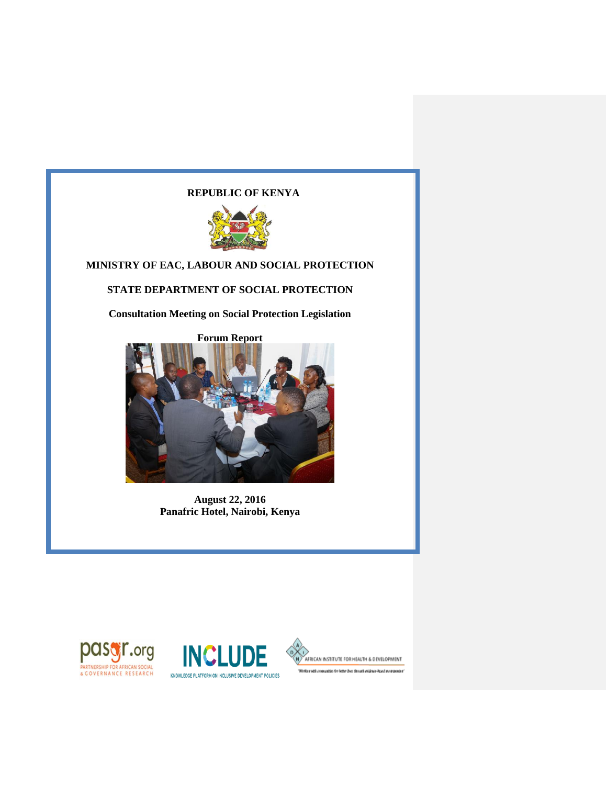# **REPUBLIC OF KENYA**



# **MINISTRY OF EAC, LABOUR AND SOCIAL PROTECTION**

# **STATE DEPARTMENT OF SOCIAL PROTECTION**

**Consultation Meeting on Social Protection Legislation**



**August 22, 2016 Panafric Hotel, Nairobi, Kenya**





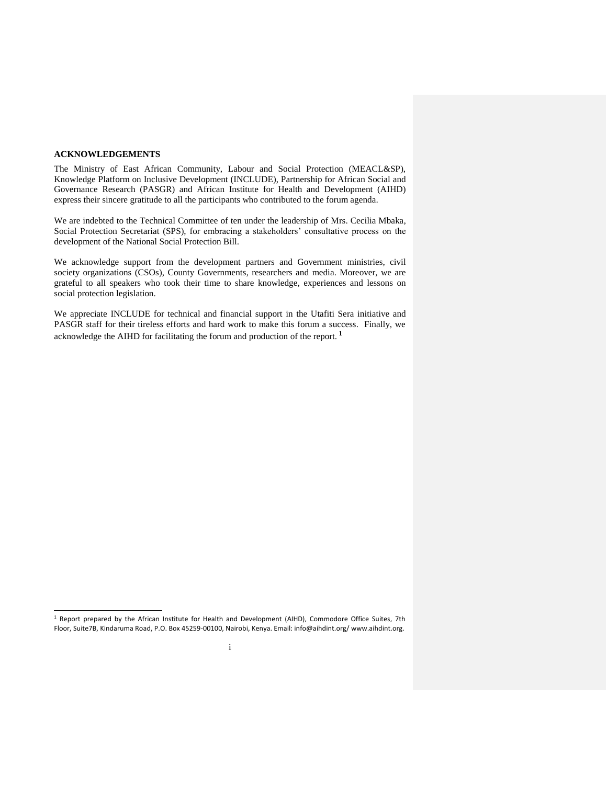#### <span id="page-1-0"></span>**ACKNOWLEDGEMENTS**

 $\overline{a}$ 

The Ministry of East African Community, Labour and Social Protection (MEACL&SP), Knowledge Platform on Inclusive Development (INCLUDE), Partnership for African Social and Governance Research (PASGR) and African Institute for Health and Development (AIHD) express their sincere gratitude to all the participants who contributed to the forum agenda.

We are indebted to the Technical Committee of ten under the leadership of Mrs. Cecilia Mbaka, Social Protection Secretariat (SPS), for embracing a stakeholders' consultative process on the development of the National Social Protection Bill.

We acknowledge support from the development partners and Government ministries, civil society organizations (CSOs), County Governments, researchers and media. Moreover, we are grateful to all speakers who took their time to share knowledge, experiences and lessons on social protection legislation.

We appreciate INCLUDE for technical and financial support in the Utafiti Sera initiative and PASGR staff for their tireless efforts and hard work to make this forum a success. Finally, we acknowledge the AIHD for facilitating the forum and production of the report. **1**

<sup>&</sup>lt;sup>1</sup> Report prepared by the African Institute for Health and Development (AIHD), Commodore Office Suites, 7th Floor, Suite7B, Kindaruma Road, P.O. Box 45259-00100, Nairobi, Kenya. Email: info@aihdint.org/ www.aihdint.org.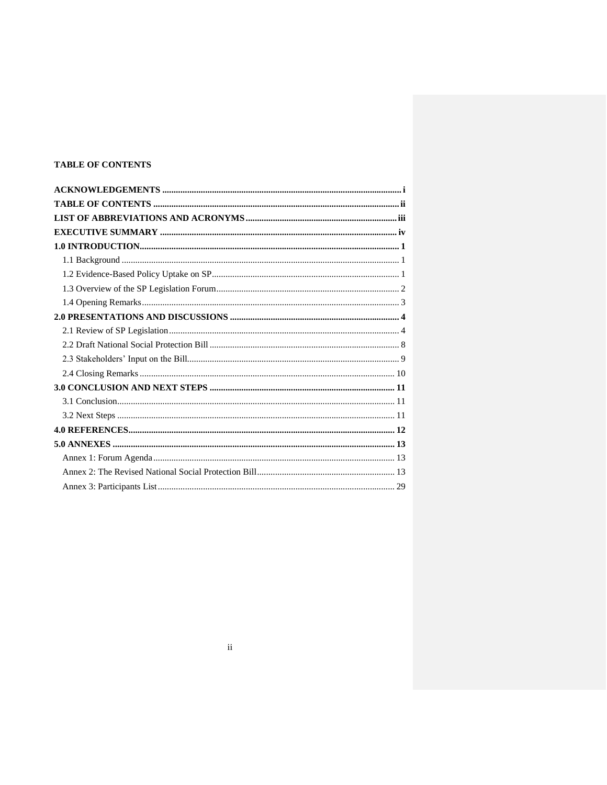## <span id="page-2-0"></span>**TABLE OF CONTENTS**

<span id="page-2-1"></span>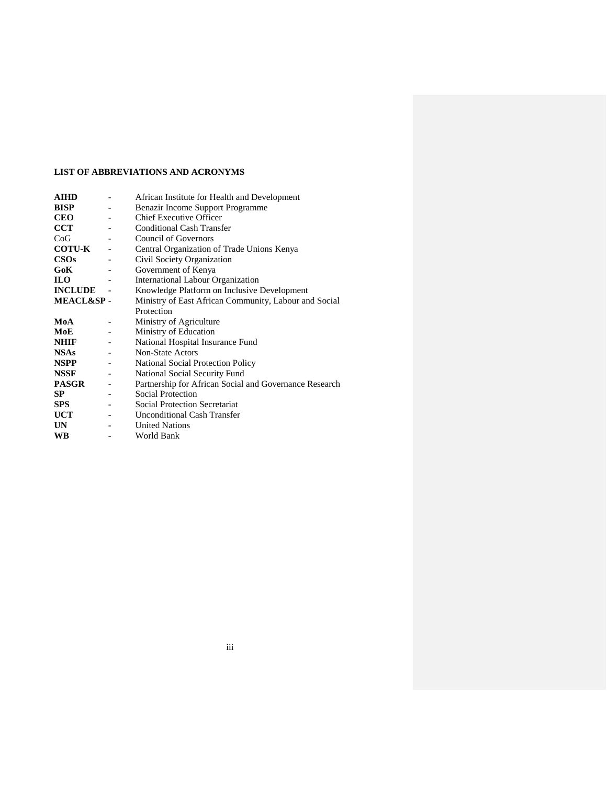## **LIST OF ABBREVIATIONS AND ACRONYMS**

<span id="page-3-0"></span>

| <b>AIHD</b>          |                          | African Institute for Health and Development           |
|----------------------|--------------------------|--------------------------------------------------------|
| <b>BISP</b>          |                          | Benazir Income Support Programme                       |
| <b>CEO</b>           |                          | <b>Chief Executive Officer</b>                         |
| <b>CCT</b>           |                          | <b>Conditional Cash Transfer</b>                       |
| CoG                  |                          | <b>Council of Governors</b>                            |
| <b>COTU-K</b>        |                          | Central Organization of Trade Unions Kenya             |
| $\cos$               |                          | Civil Society Organization                             |
| GoK                  |                          | Government of Kenya                                    |
| <b>ILO</b>           |                          | International Labour Organization                      |
| <b>INCLUDE</b>       |                          | Knowledge Platform on Inclusive Development            |
| <b>MEACL&amp;SP-</b> |                          | Ministry of East African Community, Labour and Social  |
|                      |                          | Protection                                             |
| MoA                  |                          | Ministry of Agriculture                                |
| MoE                  |                          | Ministry of Education                                  |
| <b>NHIF</b>          |                          | National Hospital Insurance Fund                       |
| <b>NSAs</b>          |                          | Non-State Actors                                       |
| <b>NSPP</b>          |                          | National Social Protection Policy                      |
| <b>NSSF</b>          | $\overline{\phantom{a}}$ | National Social Security Fund                          |
| <b>PASGR</b>         |                          | Partnership for African Social and Governance Research |
| SP.                  |                          | Social Protection                                      |
| <b>SPS</b>           |                          | <b>Social Protection Secretariat</b>                   |
| <b>UCT</b>           |                          | <b>Unconditional Cash Transfer</b>                     |
| UN                   |                          | <b>United Nations</b>                                  |
| WB                   |                          | World Bank                                             |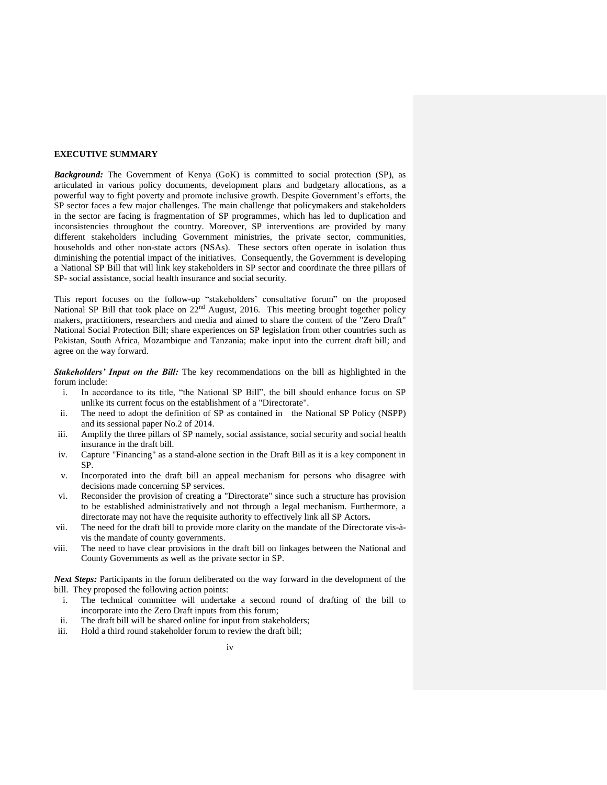### **EXECUTIVE SUMMARY**

*Background:* The Government of Kenya (GoK) is committed to social protection (SP), as articulated in various policy documents, development plans and budgetary allocations, as a powerful way to fight poverty and promote inclusive growth. Despite Government's efforts, the SP sector faces a few major challenges. The main challenge that policymakers and stakeholders in the sector are facing is fragmentation of SP programmes, which has led to duplication and inconsistencies throughout the country. Moreover, SP interventions are provided by many different stakeholders including Government ministries, the private sector, communities, households and other non-state actors (NSAs). These sectors often operate in isolation thus diminishing the potential impact of the initiatives. Consequently, the Government is developing a National SP Bill that will link key stakeholders in SP sector and coordinate the three pillars of SP- social assistance, social health insurance and social security.

This report focuses on the follow-up "stakeholders' consultative forum" on the proposed National SP Bill that took place on  $22<sup>nd</sup>$  August, 2016. This meeting brought together policy makers, practitioners, researchers and media and aimed to share the content of the "Zero Draft" National Social Protection Bill; share experiences on SP legislation from other countries such as Pakistan, South Africa, Mozambique and Tanzania; make input into the current draft bill; and agree on the way forward.

*Stakeholders' Input on the Bill:* The key recommendations on the bill as highlighted in the forum include:

- i. In accordance to its title, "the National SP Bill", the bill should enhance focus on SP unlike its current focus on the establishment of a "Directorate".
- ii. The need to adopt the definition of SP as contained in the National SP Policy (NSPP) and its sessional paper No.2 of 2014.
- iii. Amplify the three pillars of SP namely, social assistance, social security and social health insurance in the draft bill.
- iv. Capture "Financing" as a stand-alone section in the Draft Bill as it is a key component in SP.
- v. Incorporated into the draft bill an appeal mechanism for persons who disagree with decisions made concerning SP services.
- vi. Reconsider the provision of creating a "Directorate" since such a structure has provision to be established administratively and not through a legal mechanism. Furthermore, a directorate may not have the requisite authority to effectively link all SP Actors**.**
- vii. The need for the draft bill to provide more clarity on the mandate of the Directorate vis-àvis the mandate of county governments.
- viii. The need to have clear provisions in the draft bill on linkages between the National and County Governments as well as the private sector in SP.

*Next Steps:* Participants in the forum deliberated on the way forward in the development of the bill. They proposed the following action points:

- i. The technical committee will undertake a second round of drafting of the bill to incorporate into the Zero Draft inputs from this forum;
- ii. The draft bill will be shared online for input from stakeholders;
- iii. Hold a third round stakeholder forum to review the draft bill;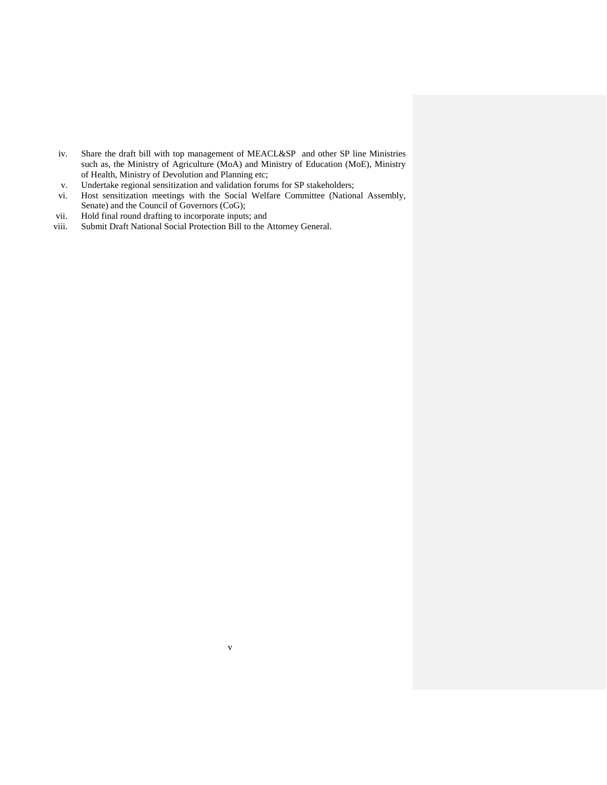- iv. Share the draft bill with top management of MEACL&SP and other SP line Ministries such as, the Ministry of Agriculture (MoA) and Ministry of Education (MoE), Ministry of Health, Ministry of Devolution and Planning etc;
- v. Undertake regional sensitization and validation forums for SP stakeholders;
- vi. Host sensitization meetings with the Social Welfare Committee (National Assembly, Senate) and the Council of Governors (CoG);

v

- vii. Hold final round drafting to incorporate inputs; and
- viii. Submit Draft National Social Protection Bill to the Attorney General.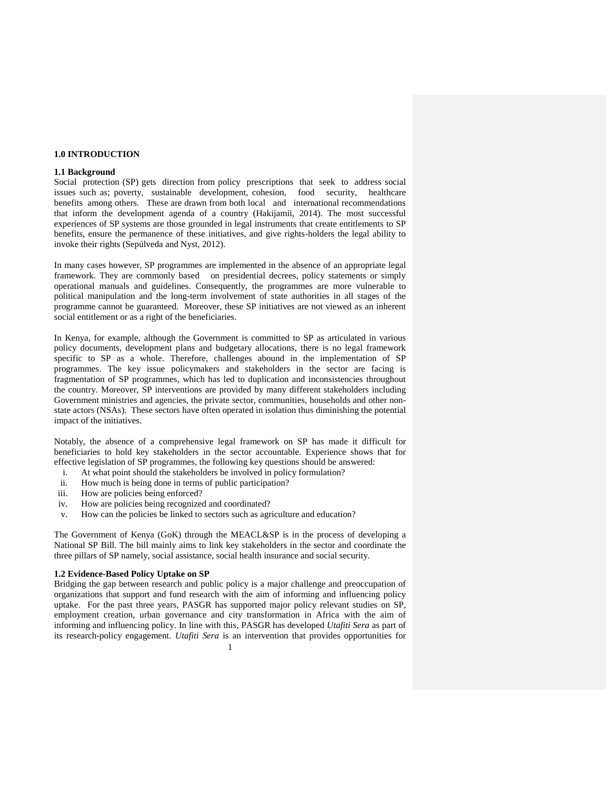#### <span id="page-6-0"></span>**1.0 INTRODUCTION**

#### <span id="page-6-1"></span>**1.1 Background**

Social protection (SP) gets direction from policy prescriptions that seek to address social issues such as; poverty, sustainable development, cohesion, food security, healthcare benefits among others. These are drawn from both local and international recommendations that inform the development agenda of a country (Hakijamii, 2014). The most successful experiences of SP systems are those grounded in legal instruments that create entitlements to SP benefits, ensure the permanence of these initiatives, and give rights-holders the legal ability to invoke their rights (Sepúlveda and Nyst, 2012).

In many cases however, SP programmes are implemented in the absence of an appropriate legal framework. They are commonly based on presidential decrees, policy statements or simply operational manuals and guidelines. Consequently, the programmes are more vulnerable to political manipulation and the long-term involvement of state authorities in all stages of the programme cannot be guaranteed. Moreover, these SP initiatives are not viewed as an inherent social entitlement or as a right of the beneficiaries.

In Kenya, for example, although the Government is committed to SP as articulated in various policy documents, development plans and budgetary allocations, there is no legal framework specific to SP as a whole. Therefore, challenges abound in the implementation of SP programmes. The key issue policymakers and stakeholders in the sector are facing is fragmentation of SP programmes, which has led to duplication and inconsistencies throughout the country. Moreover, SP interventions are provided by many different stakeholders including Government ministries and agencies, the private sector, communities, households and other nonstate actors (NSAs). These sectors have often operated in isolation thus diminishing the potential impact of the initiatives.

Notably, the absence of a comprehensive legal framework on SP has made it difficult for beneficiaries to hold key stakeholders in the sector accountable. Experience shows that for effective legislation of SP programmes, the following key questions should be answered:

- i. At what point should the stakeholders be involved in policy formulation?
- ii. How much is being done in terms of public participation?
- iii. How are policies being enforced?
- iv. How are policies being recognized and coordinated?
- v. How can the policies be linked to sectors such as agriculture and education?

The Government of Kenya (GoK) through the MEACL&SP is in the process of developing a National SP Bill. The bill mainly aims to link key stakeholders in the sector and coordinate the three pillars of SP namely, social assistance, social health insurance and social security.

### <span id="page-6-2"></span>**1.2 Evidence-Based Policy Uptake on SP**

1 Bridging the gap between research and public policy is a major challenge and preoccupation of organizations that support and fund research with the aim of informing and influencing policy uptake. For the past three years, PASGR has supported major policy relevant studies on SP, employment creation, urban governance and city transformation in Africa with the aim of informing and influencing policy. In line with this, PASGR has developed *Utafiti Sera* as part of its research-policy engagement. *Utafiti Sera* is an intervention that provides opportunities for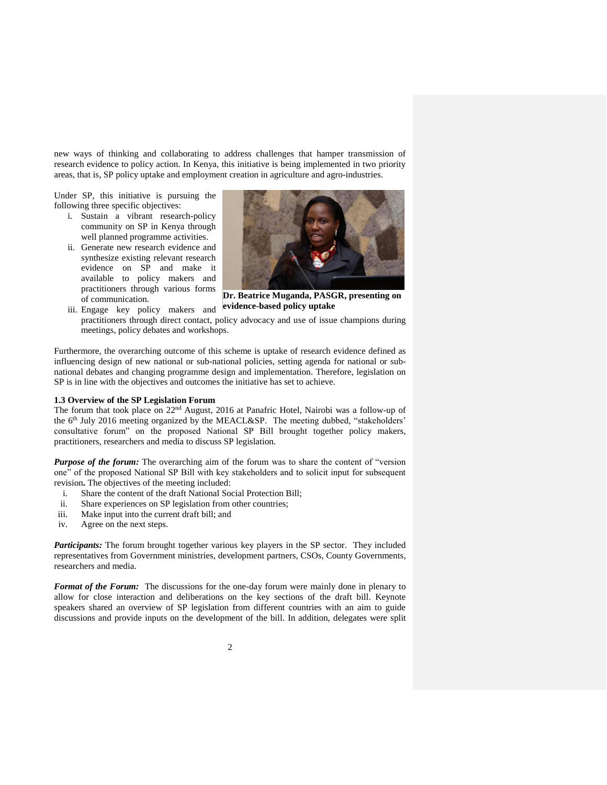new ways of thinking and collaborating to address challenges that hamper transmission of research evidence to policy action. In Kenya, this initiative is being implemented in two priority areas, that is, SP policy uptake and employment creation in agriculture and agro-industries.

Under SP, this initiative is pursuing the following three specific objectives:

- i. Sustain a vibrant research-policy community on SP in Kenya through well planned programme activities.
- ii. Generate new research evidence and synthesize existing relevant research evidence on SP and make it available to policy makers and practitioners through various forms of communication.

iii. Engage key policy makers and



**Dr. Beatrice Muganda, PASGR, presenting on evidence-based policy uptake**

practitioners through direct contact, policy advocacy and use of issue champions during meetings, policy debates and workshops.

Furthermore, the overarching outcome of this scheme is uptake of research evidence defined as influencing design of new national or sub-national policies, setting agenda for national or subnational debates and changing programme design and implementation. Therefore, legislation on SP is in line with the objectives and outcomes the initiative has set to achieve.

## <span id="page-7-0"></span>**1.3 Overview of the SP Legislation Forum**

The forum that took place on 22nd August, 2016 at Panafric Hotel, Nairobi was a follow-up of the 6<sup>th</sup> July 2016 meeting organized by the MEACL&SP. The meeting dubbed, "stakeholders' consultative forum" on the proposed National SP Bill brought together policy makers, practitioners, researchers and media to discuss SP legislation.

*Purpose of the forum:* The overarching aim of the forum was to share the content of "version" one" of the proposed National SP Bill with key stakeholders and to solicit input for subsequent revision**.** The objectives of the meeting included:

- i. Share the content of the draft National Social Protection Bill;
- ii. Share experiences on SP legislation from other countries;
- iii. Make input into the current draft bill; and
- iv. Agree on the next steps.

*Participants:* The forum brought together various key players in the SP sector. They included representatives from Government ministries, development partners, CSOs, County Governments, researchers and media.

**Format of the Forum:** The discussions for the one-day forum were mainly done in plenary to allow for close interaction and deliberations on the key sections of the draft bill. Keynote speakers shared an overview of SP legislation from different countries with an aim to guide discussions and provide inputs on the development of the bill. In addition, delegates were split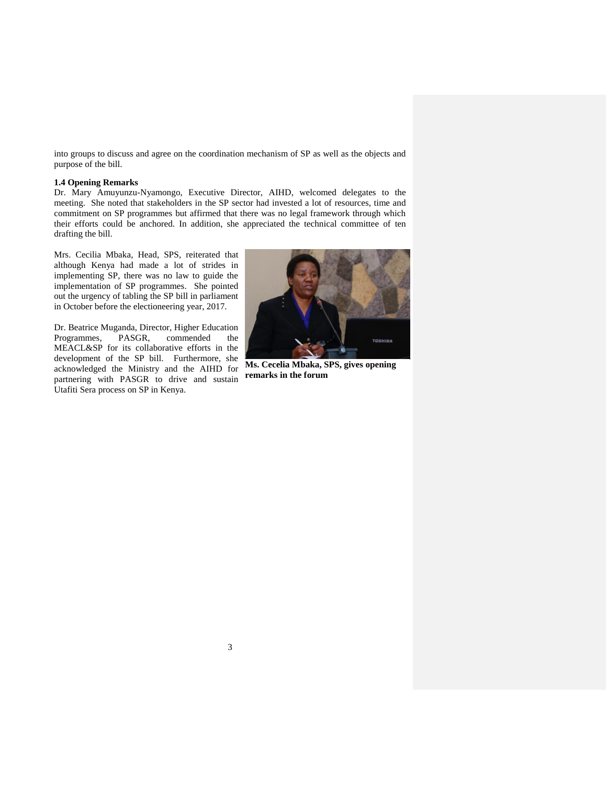into groups to discuss and agree on the coordination mechanism of SP as well as the objects and purpose of the bill.

#### <span id="page-8-0"></span>**1.4 Opening Remarks**

Dr. Mary Amuyunzu-Nyamongo, Executive Director, AIHD, welcomed delegates to the meeting. She noted that stakeholders in the SP sector had invested a lot of resources, time and commitment on SP programmes but affirmed that there was no legal framework through which their efforts could be anchored. In addition, she appreciated the technical committee of ten drafting the bill.

Mrs. Cecilia Mbaka, Head, SPS, reiterated that although Kenya had made a lot of strides in implementing SP, there was no law to guide the implementation of SP programmes. She pointed out the urgency of tabling the SP bill in parliament in October before the electioneering year, 2017.

Dr. Beatrice Muganda, Director, Higher Education Programmes, PASGR, commended the MEACL&SP for its collaborative efforts in the development of the SP bill. Furthermore, she acknowledged the Ministry and the AIHD for partnering with PASGR to drive and sustain Utafiti Sera process on SP in Kenya.



**Ms. Cecelia Mbaka, SPS, gives opening remarks in the forum**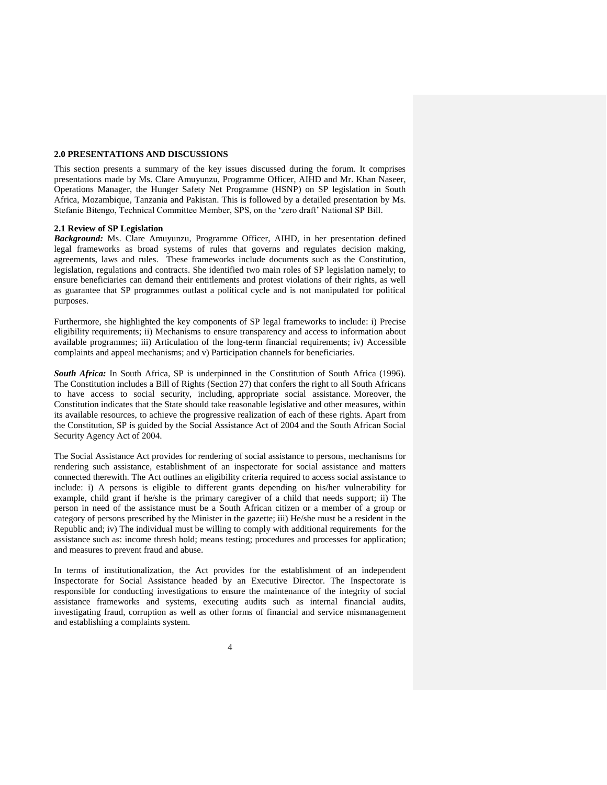#### <span id="page-9-0"></span>**2.0 PRESENTATIONS AND DISCUSSIONS**

This section presents a summary of the key issues discussed during the forum. It comprises presentations made by Ms. Clare Amuyunzu, Programme Officer, AIHD and Mr. Khan Naseer, Operations Manager, the Hunger Safety Net Programme (HSNP) on SP legislation in South Africa, Mozambique, Tanzania and Pakistan. This is followed by a detailed presentation by Ms. Stefanie Bitengo, Technical Committee Member, SPS, on the 'zero draft' National SP Bill.

#### <span id="page-9-1"></span>**2.1 Review of SP Legislation**

*Background:* Ms. Clare Amuyunzu, Programme Officer, AIHD, in her presentation defined legal frameworks as broad systems of rules that governs and regulates decision making, agreements, laws and rules. These frameworks include documents such as the Constitution, legislation, regulations and contracts. She identified two main roles of SP legislation namely; to ensure beneficiaries can demand their entitlements and protest violations of their rights, as well as guarantee that SP programmes outlast a political cycle and is not manipulated for political purposes.

Furthermore, she highlighted the key components of SP legal frameworks to include: i) Precise eligibility requirements; ii) Mechanisms to ensure transparency and access to information about available programmes; iii) Articulation of the long-term financial requirements; iv) Accessible complaints and appeal mechanisms; and v) Participation channels for beneficiaries.

*South Africa:* In South Africa, SP is underpinned in the Constitution of South Africa (1996). The Constitution includes a Bill of Rights (Section 27) that confers the right to all South Africans to have access to social security, including, appropriate social assistance. Moreover, the Constitution indicates that the State should take reasonable legislative and other measures, within its available resources, to achieve the progressive realization of each of these rights. Apart from the Constitution, SP is guided by the Social Assistance Act of 2004 and the South African Social Security Agency Act of 2004.

The Social Assistance Act provides for rendering of social assistance to persons, mechanisms for rendering such assistance, establishment of an inspectorate for social assistance and matters connected therewith. The Act outlines an eligibility criteria required to access social assistance to include: i) A persons is eligible to different grants depending on his/her vulnerability for example, child grant if he/she is the primary caregiver of a child that needs support; ii) The person in need of the assistance must be a South African citizen or a member of a group or category of persons prescribed by the Minister in the gazette; iii) He/she must be a resident in the Republic and; iv) The individual must be willing to comply with additional requirements for the assistance such as: income thresh hold; means testing; procedures and processes for application; and measures to prevent fraud and abuse.

In terms of institutionalization, the Act provides for the establishment of an independent Inspectorate for Social Assistance headed by an Executive Director. The Inspectorate is responsible for conducting investigations to ensure the maintenance of the integrity of social assistance frameworks and systems, executing audits such as internal financial audits, investigating fraud, corruption as well as other forms of financial and service mismanagement and establishing a complaints system.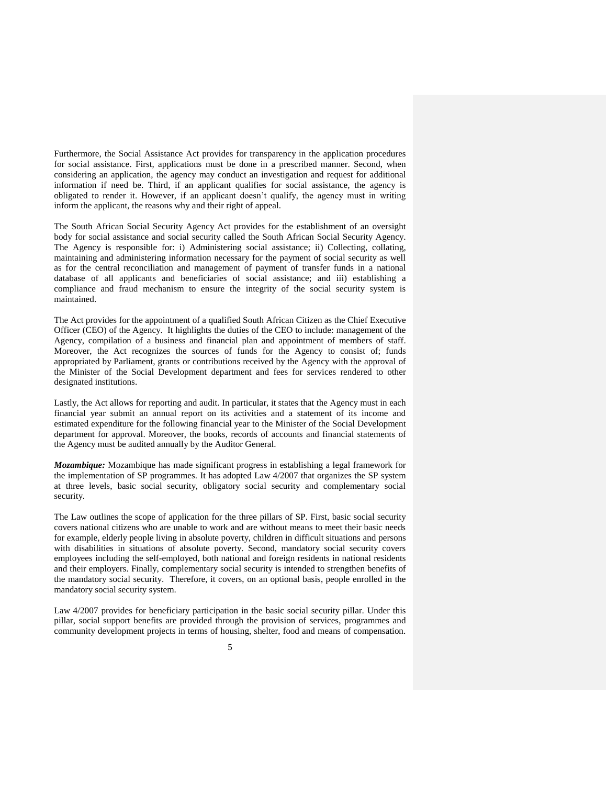Furthermore, the Social Assistance Act provides for transparency in the application procedures for social assistance. First, applications must be done in a prescribed manner. Second, when considering an application, the agency may conduct an investigation and request for additional information if need be. Third, if an applicant qualifies for social assistance, the agency is obligated to render it. However, if an applicant doesn't qualify, the agency must in writing inform the applicant, the reasons why and their right of appeal.

The South African Social Security Agency Act provides for the establishment of an oversight body for social assistance and social security called the South African Social Security Agency. The Agency is responsible for: i) Administering social assistance; ii) Collecting, collating, maintaining and administering information necessary for the payment of social security as well as for the central reconciliation and management of payment of transfer funds in a national database of all applicants and beneficiaries of social assistance; and iii) establishing a compliance and fraud mechanism to ensure the integrity of the social security system is maintained.

The Act provides for the appointment of a qualified South African Citizen as the Chief Executive Officer (CEO) of the Agency. It highlights the duties of the CEO to include: management of the Agency, compilation of a business and financial plan and appointment of members of staff. Moreover, the Act recognizes the sources of funds for the Agency to consist of; funds appropriated by Parliament, grants or contributions received by the Agency with the approval of the Minister of the Social Development department and fees for services rendered to other designated institutions.

Lastly, the Act allows for reporting and audit. In particular, it states that the Agency must in each financial year submit an annual report on its activities and a statement of its income and estimated expenditure for the following financial year to the Minister of the Social Development department for approval. Moreover, the books, records of accounts and financial statements of the Agency must be audited annually by the Auditor General.

*Mozambique:* Mozambique has made significant progress in establishing a legal framework for the implementation of SP programmes. It has adopted Law 4/2007 that organizes the SP system at three levels, basic social security, obligatory social security and complementary social security.

The Law outlines the scope of application for the three pillars of SP. First, basic social security covers national citizens who are unable to work and are without means to meet their basic needs for example, elderly people living in absolute poverty, children in difficult situations and persons with disabilities in situations of absolute poverty. Second, mandatory social security covers employees including the self-employed, both national and foreign residents in national residents and their employers. Finally, complementary social security is intended to strengthen benefits of the mandatory social security. Therefore, it covers, on an optional basis, people enrolled in the mandatory social security system.

Law 4/2007 provides for beneficiary participation in the basic social security pillar. Under this pillar, social support benefits are provided through the provision of services, programmes and community development projects in terms of housing, shelter, food and means of compensation.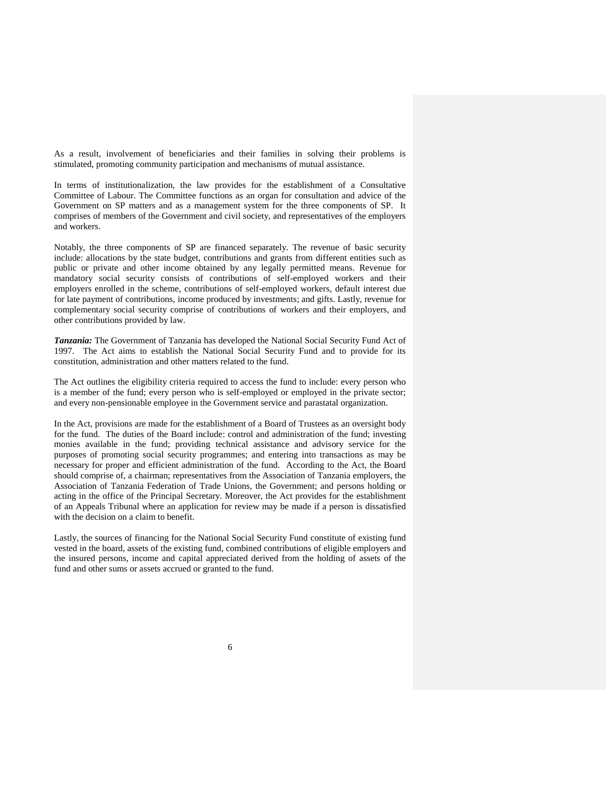As a result, involvement of beneficiaries and their families in solving their problems is stimulated, promoting community participation and mechanisms of mutual assistance.

In terms of institutionalization, the law provides for the establishment of a Consultative Committee of Labour. The Committee functions as an organ for consultation and advice of the Government on SP matters and as a management system for the three components of SP. It comprises of members of the Government and civil society, and representatives of the employers and workers.

Notably, the three components of SP are financed separately. The revenue of basic security include: allocations by the state budget, contributions and grants from different entities such as public or private and other income obtained by any legally permitted means. Revenue for mandatory social security consists of contributions of self-employed workers and their employers enrolled in the scheme, contributions of self-employed workers, default interest due for late payment of contributions, income produced by investments; and gifts. Lastly, revenue for complementary social security comprise of contributions of workers and their employers, and other contributions provided by law.

*Tanzania:* The Government of Tanzania has developed the National Social Security Fund Act of 1997. The Act aims to establish the National Social Security Fund and to provide for its constitution, administration and other matters related to the fund.

The Act outlines the eligibility criteria required to access the fund to include: every person who is a member of the fund; every person who is self-employed or employed in the private sector; and every non-pensionable employee in the Government service and parastatal organization.

In the Act, provisions are made for the establishment of a Board of Trustees as an oversight body for the fund. The duties of the Board include: control and administration of the fund; investing monies available in the fund; providing technical assistance and advisory service for the purposes of promoting social security programmes; and entering into transactions as may be necessary for proper and efficient administration of the fund. According to the Act, the Board should comprise of, a chairman; representatives from the Association of Tanzania employers, the Association of Tanzania Federation of Trade Unions, the Government; and persons holding or acting in the office of the Principal Secretary. Moreover, the Act provides for the establishment of an Appeals Tribunal where an application for review may be made if a person is dissatisfied with the decision on a claim to benefit.

Lastly, the sources of financing for the National Social Security Fund constitute of existing fund vested in the board, assets of the existing fund, combined contributions of eligible employers and the insured persons, income and capital appreciated derived from the holding of assets of the fund and other sums or assets accrued or granted to the fund.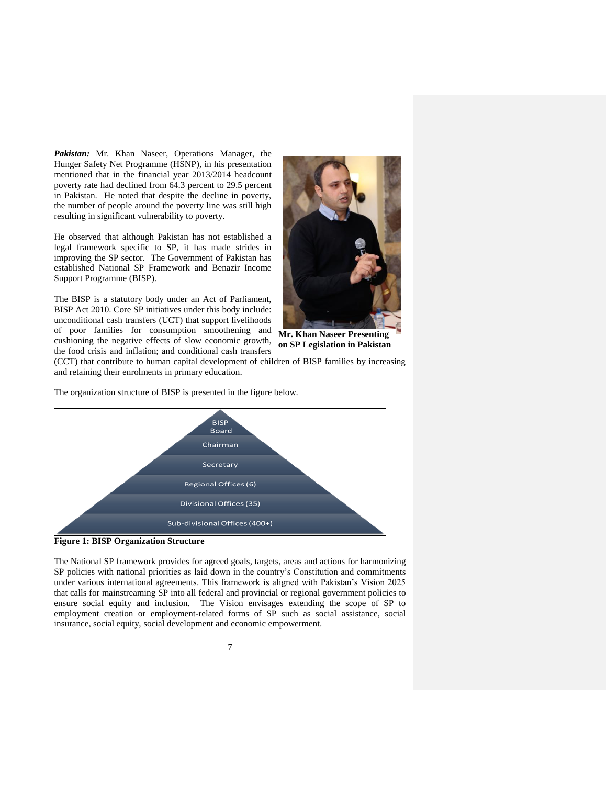*Pakistan:* Mr. Khan Naseer, Operations Manager, the Hunger Safety Net Programme (HSNP), in his presentation mentioned that in the financial year 2013/2014 headcount poverty rate had declined from 64.3 percent to 29.5 percent in Pakistan. He noted that despite the decline in poverty, the number of people around the poverty line was still high resulting in significant vulnerability to poverty.

He observed that although Pakistan has not established a legal framework specific to SP, it has made strides in improving the SP sector. The Government of Pakistan has established National SP Framework and Benazir Income Support Programme (BISP).

The BISP is a statutory body under an Act of Parliament, BISP Act 2010. Core SP initiatives under this body include: unconditional cash transfers (UCT) that support livelihoods of poor families for consumption smoothening and cushioning the negative effects of slow economic growth, the food crisis and inflation; and conditional cash transfers

The organization structure of BISP is presented in the figure below.



**Mr. Khan Naseer Presenting on SP Legislation in Pakistan**

(CCT) that contribute to human capital development of children of BISP families by increasing and retaining their enrolments in primary education.

**BISP Board** Chairman Secretary Regional Offices (6) Divisional Offices (35) Sub-divisional Offices (400+)

**Figure 1: BISP Organization Structure**

The National SP framework provides for agreed goals, targets, areas and actions for harmonizing SP policies with national priorities as laid down in the country's Constitution and commitments under various international agreements. This framework is aligned with Pakistan's Vision 2025 that calls for mainstreaming SP into all federal and provincial or regional government policies to ensure social equity and inclusion. The Vision envisages extending the scope of SP to employment creation or employment-related forms of SP such as social assistance, social insurance, social equity, social development and economic empowerment.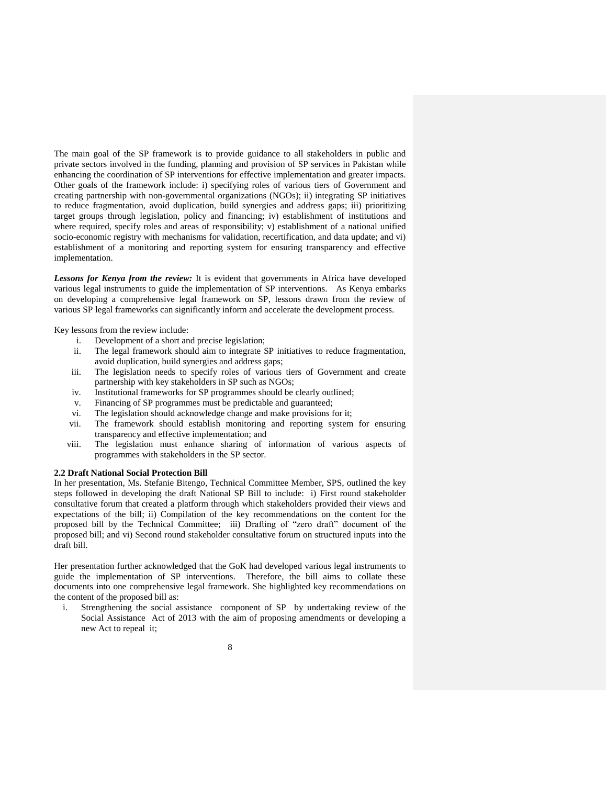The main goal of the SP framework is to provide guidance to all stakeholders in public and private sectors involved in the funding, planning and provision of SP services in Pakistan while enhancing the coordination of SP interventions for effective implementation and greater impacts. Other goals of the framework include: i) specifying roles of various tiers of Government and creating partnership with non-governmental organizations (NGOs); ii) integrating SP initiatives to reduce fragmentation, avoid duplication, build synergies and address gaps; iii) prioritizing target groups through legislation, policy and financing; iv) establishment of institutions and where required, specify roles and areas of responsibility; v) establishment of a national unified socio-economic registry with mechanisms for validation, recertification, and data update; and vi) establishment of a monitoring and reporting system for ensuring transparency and effective implementation.

*Lessons for Kenya from the review:* It is evident that governments in Africa have developed various legal instruments to guide the implementation of SP interventions. As Kenya embarks on developing a comprehensive legal framework on SP, lessons drawn from the review of various SP legal frameworks can significantly inform and accelerate the development process.

Key lessons from the review include:

- i. Development of a short and precise legislation;
- ii. The legal framework should aim to integrate SP initiatives to reduce fragmentation, avoid duplication, build synergies and address gaps;
- iii. The legislation needs to specify roles of various tiers of Government and create partnership with key stakeholders in SP such as NGOs;
- iv. Institutional frameworks for SP programmes should be clearly outlined;
- v. Financing of SP programmes must be predictable and guaranteed;
- vi. The legislation should acknowledge change and make provisions for it;
- vii. The framework should establish monitoring and reporting system for ensuring transparency and effective implementation; and
- viii. The legislation must enhance sharing of information of various aspects of programmes with stakeholders in the SP sector.

#### <span id="page-13-0"></span>**2.2 Draft National Social Protection Bill**

In her presentation, Ms. Stefanie Bitengo, Technical Committee Member, SPS, outlined the key steps followed in developing the draft National SP Bill to include: i) First round stakeholder consultative forum that created a platform through which stakeholders provided their views and expectations of the bill; ii) Compilation of the key recommendations on the content for the proposed bill by the Technical Committee; iii) Drafting of "zero draft" document of the proposed bill; and vi) Second round stakeholder consultative forum on structured inputs into the draft bill.

Her presentation further acknowledged that the GoK had developed various legal instruments to guide the implementation of SP interventions. Therefore, the bill aims to collate these documents into one comprehensive legal framework. She highlighted key recommendations on the content of the proposed bill as:

i. Strengthening the social assistance component of SP by undertaking review of the Social Assistance Act of 2013 with the aim of proposing amendments or developing a new Act to repeal it;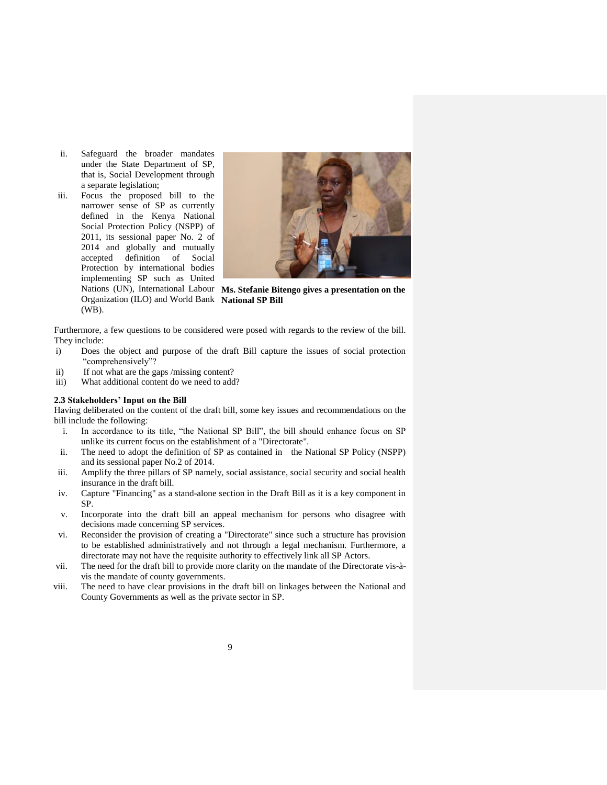- ii. Safeguard the broader mandates under the State Department of SP, that is, Social Development through a separate legislation;
- iii. Focus the proposed bill to the narrower sense of SP as currently defined in the Kenya National Social Protection Policy (NSPP) of 2011, its sessional paper No. 2 of 2014 and globally and mutually accepted definition of Social Protection by international bodies implementing SP such as United Organization (ILO) and World Bank National SP Bill (WB).



Nations (UN), International Labour **Ms. Stefanie Bitengo gives a presentation on the** 

Furthermore, a few questions to be considered were posed with regards to the review of the bill. They include:

- i) Does the object and purpose of the draft Bill capture the issues of social protection "comprehensively"?
- ii) If not what are the gaps /missing content?
- iii) What additional content do we need to add?

#### <span id="page-14-0"></span>**2.3 Stakeholders' Input on the Bill**

Having deliberated on the content of the draft bill, some key issues and recommendations on the bill include the following:

- i. In accordance to its title, "the National SP Bill", the bill should enhance focus on SP unlike its current focus on the establishment of a "Directorate".
- ii. The need to adopt the definition of SP as contained in the National SP Policy (NSPP) and its sessional paper No.2 of 2014.
- iii. Amplify the three pillars of SP namely, social assistance, social security and social health insurance in the draft bill.
- iv. Capture "Financing" as a stand-alone section in the Draft Bill as it is a key component in SP.
- v. Incorporate into the draft bill an appeal mechanism for persons who disagree with decisions made concerning SP services.
- vi. Reconsider the provision of creating a "Directorate" since such a structure has provision to be established administratively and not through a legal mechanism. Furthermore, a directorate may not have the requisite authority to effectively link all SP Actors.
- vii. The need for the draft bill to provide more clarity on the mandate of the Directorate vis-àvis the mandate of county governments.
- viii. The need to have clear provisions in the draft bill on linkages between the National and County Governments as well as the private sector in SP.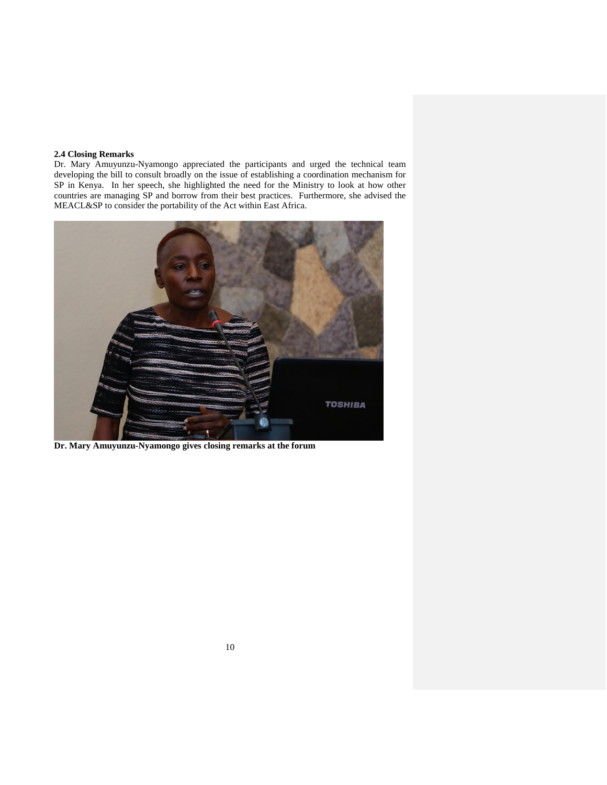## <span id="page-15-0"></span>**2.4 Closing Remarks**

Dr. Mary Amuyunzu-Nyamongo appreciated the participants and urged the technical team developing the bill to consult broadly on the issue of establishing a coordination mechanism for SP in Kenya. In her speech, she highlighted the need for the Ministry to look at how other countries are managing SP and borrow from their best practices. Furthermore, she advised the MEACL&SP to consider the portability of the Act within East Africa.



**Dr. Mary Amuyunzu-Nyamongo gives closing remarks at the forum**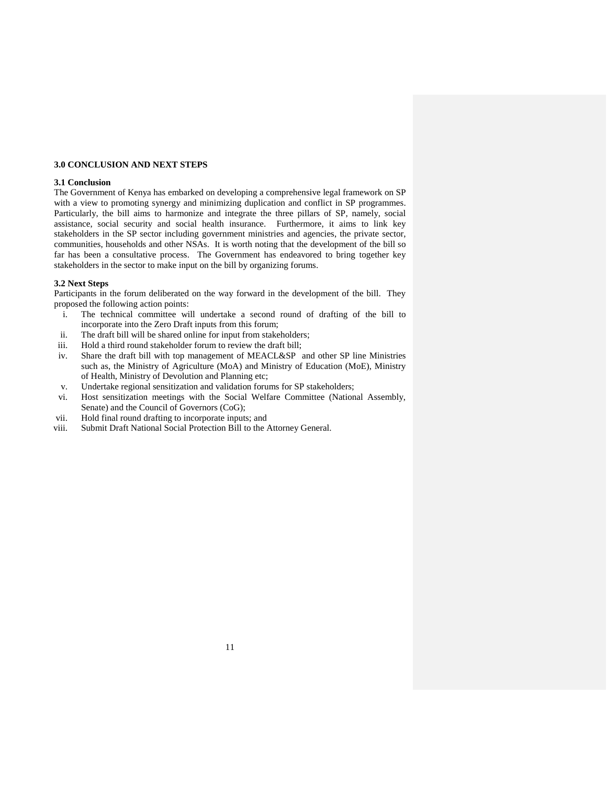### <span id="page-16-0"></span>**3.0 CONCLUSION AND NEXT STEPS**

#### <span id="page-16-1"></span>**3.1 Conclusion**

The Government of Kenya has embarked on developing a comprehensive legal framework on SP with a view to promoting synergy and minimizing duplication and conflict in SP programmes. Particularly, the bill aims to harmonize and integrate the three pillars of SP, namely, social assistance, social security and social health insurance. Furthermore, it aims to link key stakeholders in the SP sector including government ministries and agencies, the private sector, communities, households and other NSAs. It is worth noting that the development of the bill so far has been a consultative process. The Government has endeavored to bring together key stakeholders in the sector to make input on the bill by organizing forums.

### <span id="page-16-2"></span>**3.2 Next Steps**

Participants in the forum deliberated on the way forward in the development of the bill. They proposed the following action points:

- i. The technical committee will undertake a second round of drafting of the bill to incorporate into the Zero Draft inputs from this forum;
- ii. The draft bill will be shared online for input from stakeholders;
- iii. Hold a third round stakeholder forum to review the draft bill;
- iv. Share the draft bill with top management of MEACL&SP and other SP line Ministries such as, the Ministry of Agriculture (MoA) and Ministry of Education (MoE), Ministry of Health, Ministry of Devolution and Planning etc;
- v. Undertake regional sensitization and validation forums for SP stakeholders;
- vi. Host sensitization meetings with the Social Welfare Committee (National Assembly, Senate) and the Council of Governors (CoG);
- vii. Hold final round drafting to incorporate inputs; and
- viii. Submit Draft National Social Protection Bill to the Attorney General.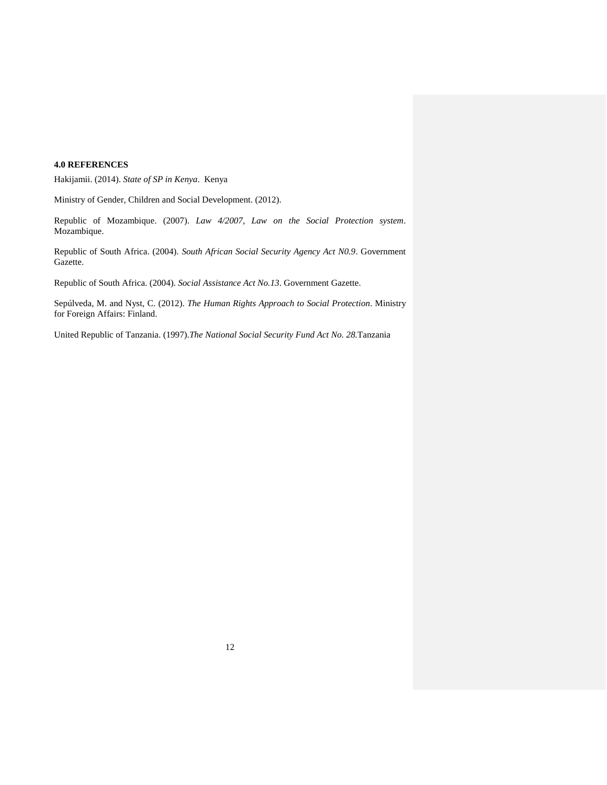## <span id="page-17-0"></span>**4.0 REFERENCES**

Hakijamii. (2014). *State of SP in Kenya*. Kenya

Ministry of Gender, Children and Social Development. (2012).

Republic of Mozambique. (2007). *Law 4/2007, Law on the Social Protection system*. Mozambique.

Republic of South Africa. (2004). *South African Social Security Agency Act N0.9*. Government Gazette.

Republic of South Africa. (2004). *Social Assistance Act No.13*. Government Gazette.

Sepúlveda, M. and Nyst, C. (2012). *The Human Rights Approach to Social Protection*. Ministry for Foreign Affairs: Finland.

United Republic of Tanzania. (1997).*The National Social Security Fund Act No. 28.*Tanzania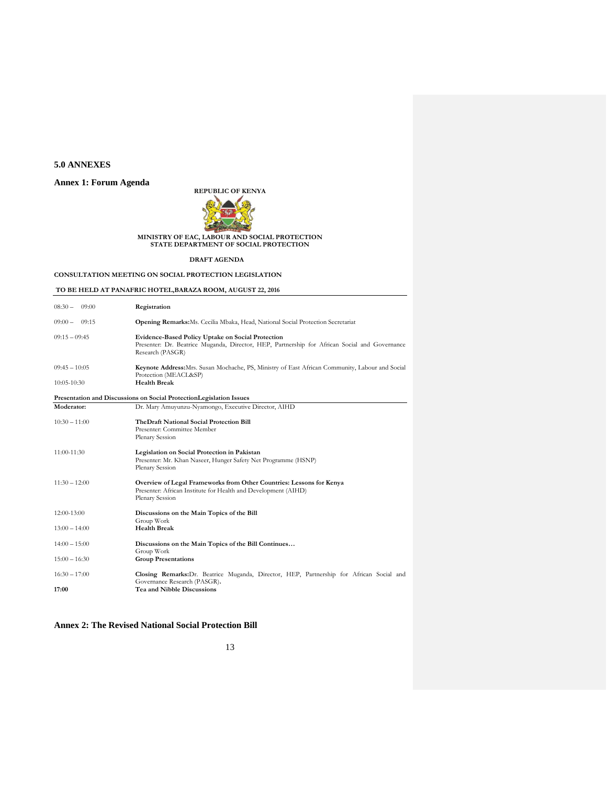## <span id="page-18-0"></span>**5.0 ANNEXES**

## <span id="page-18-1"></span>**Annex 1: Forum Agenda**

**REPUBLIC OF KENYA**



# **MINISTRY OF EAC, LABOUR AND SOCIAL PROTECTION STATE DEPARTMENT OF SOCIAL PROTECTION**

**DRAFT AGENDA** 

#### **CONSULTATION MEETING ON SOCIAL PROTECTION LEGISLATION**

## **TO BE HELD AT PANAFRIC HOTEL,BARAZA ROOM, AUGUST 22, 2016**

| $08:30-$<br>09:00 | Registration                                                                                                                                                                  |
|-------------------|-------------------------------------------------------------------------------------------------------------------------------------------------------------------------------|
| $09:00 - 09:15$   | <b>Opening Remarks:</b> Ms. Cecilia Mbaka, Head, National Social Protection Secretariat                                                                                       |
| $09:15 - 09:45$   | <b>Evidence-Based Policy Uptake on Social Protection</b><br>Presenter: Dr. Beatrice Muganda, Director, HEP, Partnership for African Social and Governance<br>Research (PASGR) |
| $09:45 - 10:05$   | Keynote Address: Mrs. Susan Mochache, PS, Ministry of East African Community, Labour and Social<br>Protection (MEACL&SP)                                                      |
| $10:05 - 10:30$   | <b>Health Break</b>                                                                                                                                                           |
|                   | Presentation and Discussions on Social Protection Legislation Issues                                                                                                          |
| Moderator:        | Dr. Mary Amuyunzu-Nyamongo, Executive Director, AIHD                                                                                                                          |
| $10:30 - 11:00$   | The Draft National Social Protection Bill<br>Presenter: Committee Member<br>Plenary Session                                                                                   |
| 11:00-11:30       | Legislation on Social Protection in Pakistan<br>Presenter: Mr. Khan Naseer, Hunger Safety Net Programme (HSNP)<br>Plenary Session                                             |
| $11:30 - 12:00$   | Overview of Legal Frameworks from Other Countries: Lessons for Kenya<br>Presenter: African Institute for Health and Development (AIHD)<br>Plenary Session                     |
| $12:00-13:00$     | Discussions on the Main Topics of the Bill<br>Group Work                                                                                                                      |
| $13:00 - 14:00$   | <b>Health Break</b>                                                                                                                                                           |
| $14:00 - 15:00$   | Discussions on the Main Topics of the Bill Continues<br>Group Work                                                                                                            |
| $15:00 - 16:30$   | <b>Group Presentations</b>                                                                                                                                                    |
| $16:30 - 17:00$   | Closing Remarks: Dr. Beatrice Muganda, Director, HEP, Partnership for African Social and<br>Governance Research (PASGR).                                                      |
| 17:00             | <b>Tea and Nibble Discussions</b>                                                                                                                                             |

### <span id="page-18-2"></span>**Annex 2: The Revised National Social Protection Bill**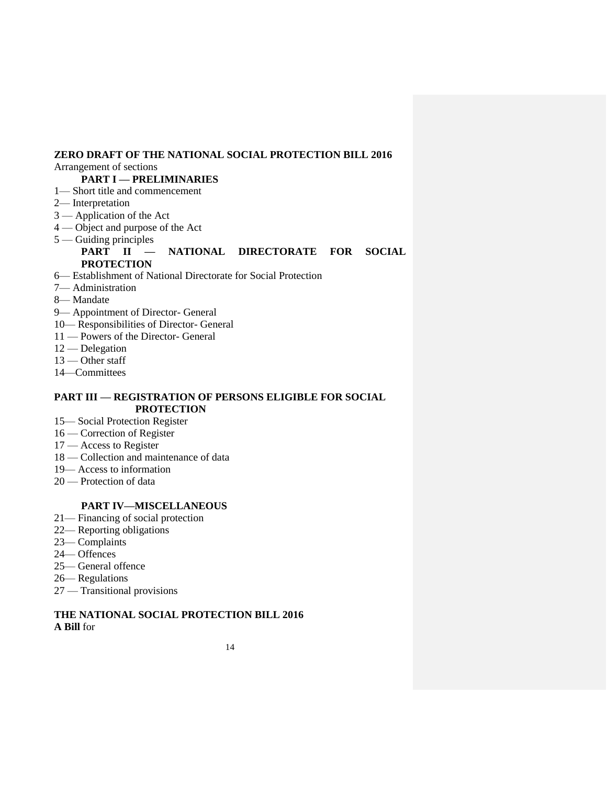# **ZERO DRAFT OF THE NATIONAL SOCIAL PROTECTION BILL 2016**

## Arrangement of sections

# **PART I — PRELIMINARIES**

- 1— Short title and commencement
- 2— Interpretation
- 3 Application of the Act
- 4 Object and purpose of the Act
- 5 Guiding principles

## **PART II — NATIONAL DIRECTORATE FOR SOCIAL PROTECTION**

- 6— Establishment of National Directorate for Social Protection
- 7— Administration
- 8— Mandate
- 9— Appointment of Director- General
- 10— Responsibilities of Director- General
- 11 Powers of the Director- General
- 12 Delegation
- 13 Other staff
- 14—Committees

## **PART III — REGISTRATION OF PERSONS ELIGIBLE FOR SOCIAL PROTECTION**

- 15— Social Protection Register
- 16 Correction of Register
- 17 Access to Register
- 18 Collection and maintenance of data
- 19— Access to information
- 20 Protection of data

## **PART IV—MISCELLANEOUS**

- 21— Financing of social protection
- 22— Reporting obligations
- 23— Complaints
- 24— Offences
- 25— General offence
- 26— Regulations
- 27 Transitional provisions

## **THE NATIONAL SOCIAL PROTECTION BILL 2016 A Bill** for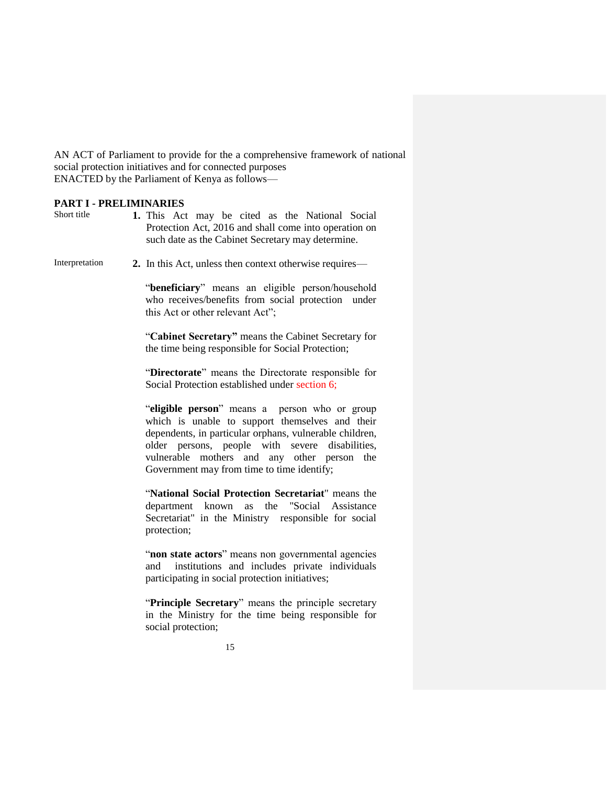AN ACT of Parliament to provide for the a comprehensive framework of national social protection initiatives and for connected purposes ENACTED by the Parliament of Kenya as follows—

## **PART I - PRELIMINARIES**

Short title **1.** This Act may be cited as the National Social Protection Act, 2016 and shall come into operation on such date as the Cabinet Secretary may determine.

Interpretation **2.** In this Act, unless then context otherwise requires—

"**beneficiary**" means an eligible person/household who receives/benefits from social protection under this Act or other relevant Act";

"**Cabinet Secretary"** means the Cabinet Secretary for the time being responsible for Social Protection;

"**Directorate**" means the Directorate responsible for Social Protection established under section 6;

"**eligible person**" means a person who or group which is unable to support themselves and their dependents, in particular orphans, vulnerable children, older persons, people with severe disabilities, vulnerable mothers and any other person the Government may from time to time identify;

"**National Social Protection Secretariat**" means the department known as the "Social Assistance Secretariat" in the Ministry responsible for social protection;

"**non state actors**" means non governmental agencies and institutions and includes private individuals participating in social protection initiatives;

"**Principle Secretary**" means the principle secretary in the Ministry for the time being responsible for social protection;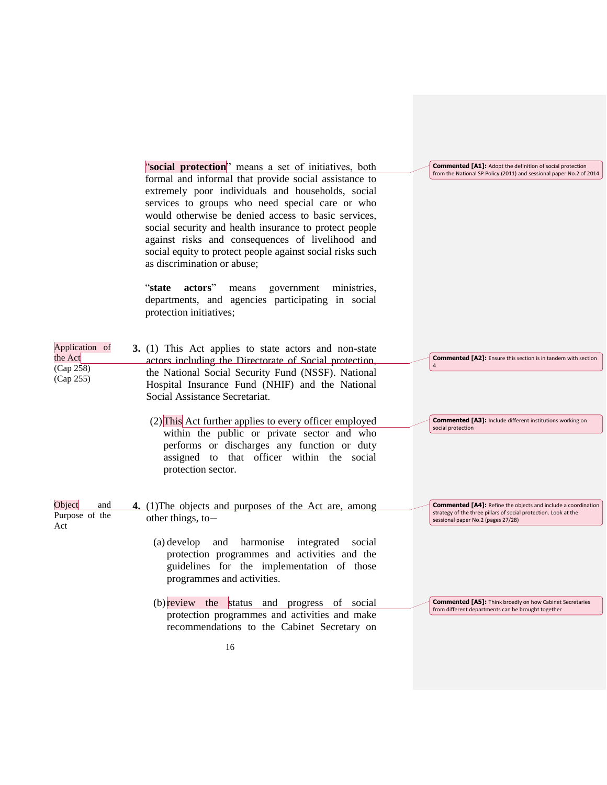|                        | "social protection" means a set of initiatives, both                                                    | <b>Commented [A1]:</b> Adopt the definition of social protection                                                                        |
|------------------------|---------------------------------------------------------------------------------------------------------|-----------------------------------------------------------------------------------------------------------------------------------------|
|                        | formal and informal that provide social assistance to                                                   | from the National SP Policy (2011) and sessional paper No.2 of 2014                                                                     |
|                        | extremely poor individuals and households, social                                                       |                                                                                                                                         |
|                        | services to groups who need special care or who                                                         |                                                                                                                                         |
|                        | would otherwise be denied access to basic services,                                                     |                                                                                                                                         |
|                        | social security and health insurance to protect people                                                  |                                                                                                                                         |
|                        | against risks and consequences of livelihood and                                                        |                                                                                                                                         |
|                        | social equity to protect people against social risks such                                               |                                                                                                                                         |
|                        | as discrimination or abuse;                                                                             |                                                                                                                                         |
|                        |                                                                                                         |                                                                                                                                         |
|                        | "state<br>actors"<br>means<br>government<br>ministries,                                                 |                                                                                                                                         |
|                        | departments, and agencies participating in social<br>protection initiatives;                            |                                                                                                                                         |
|                        |                                                                                                         |                                                                                                                                         |
|                        |                                                                                                         |                                                                                                                                         |
| Application of         | 3. (1) This Act applies to state actors and non-state                                                   |                                                                                                                                         |
| the Act                | actors including the Directorate of Social protection,                                                  | <b>Commented [A2]:</b> Ensure this section is in tandem with section                                                                    |
| (Cap 258)<br>(Cap 255) | the National Social Security Fund (NSSF). National                                                      |                                                                                                                                         |
|                        | Hospital Insurance Fund (NHIF) and the National                                                         |                                                                                                                                         |
|                        | Social Assistance Secretariat.                                                                          |                                                                                                                                         |
|                        |                                                                                                         |                                                                                                                                         |
|                        | $(2)$ This Act further applies to every officer employed<br>within the public or private sector and who | <b>Commented [A3]:</b> Include different institutions working on<br>social protection                                                   |
|                        | performs or discharges any function or duty                                                             |                                                                                                                                         |
|                        | assigned to that officer within the social                                                              |                                                                                                                                         |
|                        | protection sector.                                                                                      |                                                                                                                                         |
|                        |                                                                                                         |                                                                                                                                         |
|                        |                                                                                                         |                                                                                                                                         |
| Object<br>and          | 4. (1) The objects and purposes of the Act are, among                                                   | <b>Commented [A4]:</b> Refine the objects and include a coordination<br>strategy of the three pillars of social protection. Look at the |
| Purpose of the<br>Act  | other things, to-                                                                                       | sessional paper No.2 (pages 27/28)                                                                                                      |
|                        |                                                                                                         |                                                                                                                                         |
|                        | and harmonise<br>(a) develop<br>integrated<br>social<br>protection programmes and activities and the    |                                                                                                                                         |
|                        | guidelines for the implementation of those                                                              |                                                                                                                                         |
|                        | programmes and activities.                                                                              |                                                                                                                                         |
|                        |                                                                                                         |                                                                                                                                         |
|                        | (b) review the status and progress of social                                                            | <b>Commented [A5]:</b> Think broadly on how Cabinet Secretaries                                                                         |
|                        | protection programmes and activities and make                                                           | from different departments can be brought together                                                                                      |
|                        | recommendations to the Cabinet Secretary on                                                             |                                                                                                                                         |
|                        | 16                                                                                                      |                                                                                                                                         |
|                        |                                                                                                         |                                                                                                                                         |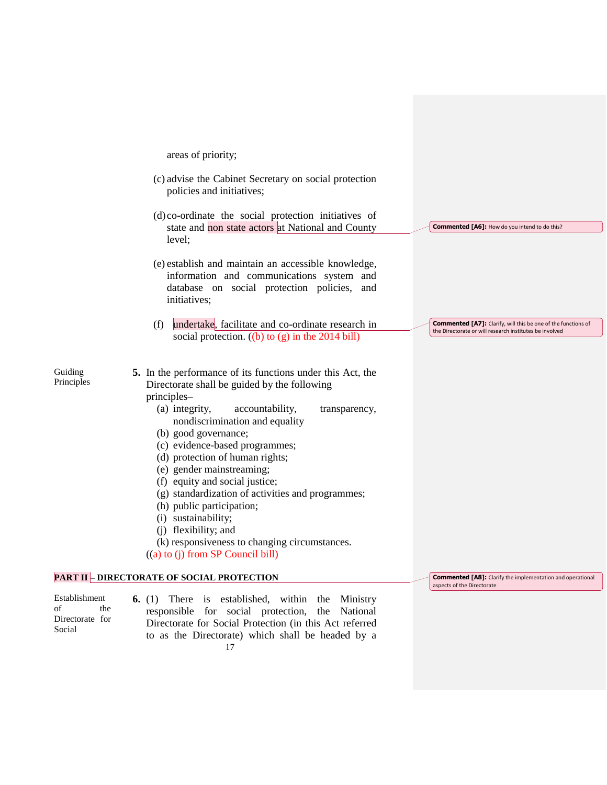areas of priority;

- (c) advise the Cabinet Secretary on social protection policies and initiatives;
- (d) co-ordinate the social protection initiatives of state and non state actors at National and County level;
- (e) establish and maintain an accessible knowledge, information and communications system and database on social protection policies, and initiatives;
- (f) undertake, facilitate and co-ordinate research in social protection.  $((b)$  to  $(g)$  in the 2014 bill)

Guiding Principles

- **5.** In the performance of its functions under this Act, the Directorate shall be guided by the following principles–
	- (a) integrity, accountability, transparency, nondiscrimination and equality
	- (b) good governance;
	- (c) evidence-based programmes;
	- (d) protection of human rights;
	- (e) gender mainstreaming;
	- (f) equity and social justice;
	- (g) standardization of activities and programmes;
	- (h) public participation;
	- (i) sustainability;
	- (j) flexibility; and
	- (k) responsiveness to changing circumstances.
	- ((a) to (j) from SP Council bill)

## **PART II – DIRECTORATE OF SOCIAL PROTECTION**

Establishment of the Directorate for Social

17 **6.** (1) There is established, within the Ministry responsible for social protection, the National Directorate for Social Protection (in this Act referred to as the Directorate) which shall be headed by a **Commented [A7]:** Clarify, will this be one of the functions of the Directorate or will research institutes be involved

**Commented [A6]:** How do you intend to do this?

**Commented [A8]:** Clarify the implementation and operational aspects of the Directorate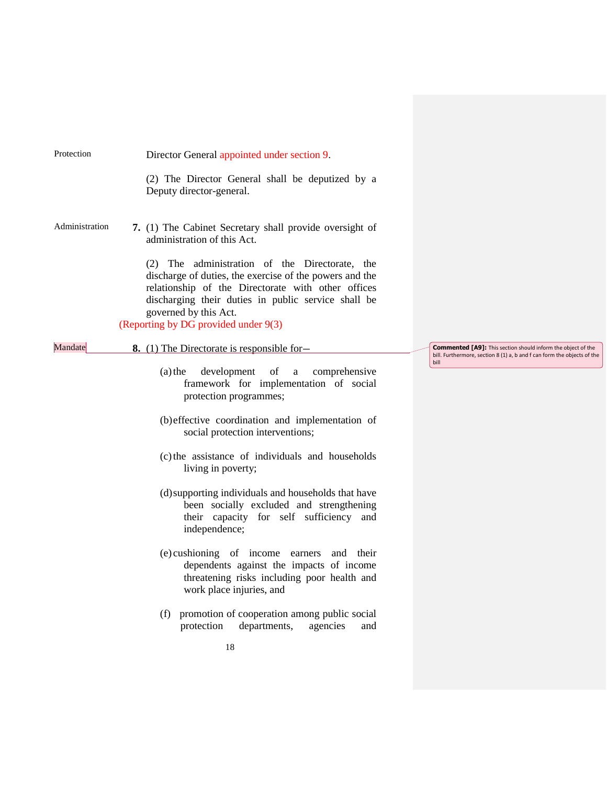| Protection     | Director General appointed under section 9.                                                                                                                                                                                           |                                                                                                                                                |
|----------------|---------------------------------------------------------------------------------------------------------------------------------------------------------------------------------------------------------------------------------------|------------------------------------------------------------------------------------------------------------------------------------------------|
|                | (2) The Director General shall be deputized by a<br>Deputy director-general.                                                                                                                                                          |                                                                                                                                                |
| Administration | 7. (1) The Cabinet Secretary shall provide oversight of<br>administration of this Act.<br>(2) The administration of the Directorate, the                                                                                              |                                                                                                                                                |
|                | discharge of duties, the exercise of the powers and the<br>relationship of the Directorate with other offices<br>discharging their duties in public service shall be<br>governed by this Act.<br>(Reporting by DG provided under 9(3) |                                                                                                                                                |
| Mandate        | 8. (1) The Directorate is responsible for-                                                                                                                                                                                            | <b>Commented [A9]:</b> This section should inform the object of the<br>bill. Furthermore, section 8 (1) a, b and f can form the objects of the |
|                | development of a<br>$(a)$ the<br>comprehensive<br>framework for implementation of social<br>protection programmes;                                                                                                                    | bill                                                                                                                                           |
|                | (b) effective coordination and implementation of<br>social protection interventions;                                                                                                                                                  |                                                                                                                                                |
|                | (c) the assistance of individuals and households<br>living in poverty;                                                                                                                                                                |                                                                                                                                                |
|                | (d) supporting individuals and households that have<br>been socially excluded and strengthening<br>their capacity for self sufficiency and<br>independence;                                                                           |                                                                                                                                                |
|                | (e) cushioning of income earners and their<br>dependents against the impacts of income<br>threatening risks including poor health and<br>work place injuries, and                                                                     |                                                                                                                                                |
|                | promotion of cooperation among public social<br>(f)<br>departments,<br>agencies<br>protection<br>and                                                                                                                                  |                                                                                                                                                |
|                | 18                                                                                                                                                                                                                                    |                                                                                                                                                |
|                |                                                                                                                                                                                                                                       |                                                                                                                                                |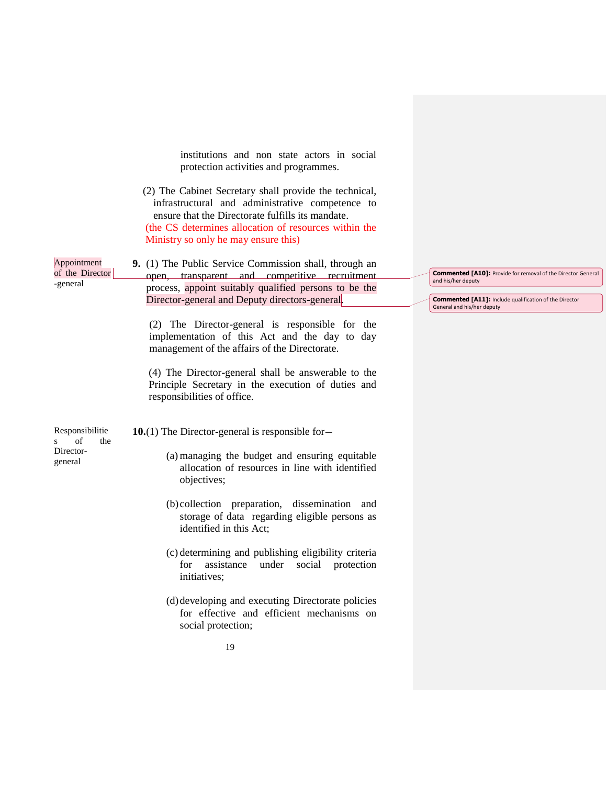institutions and non state actors in social protection activities and programmes.

(2) The Cabinet Secretary shall provide the technical, infrastructural and administrative competence to ensure that the Directorate fulfills its mandate. (the CS determines allocation of resources within the Ministry so only he may ensure this)

Appointment of the Director **9.** (1) The Public Service Commission shall, through an open, transparent and competitive recruitment process, appoint suitably qualified persons to be the Director-general and Deputy directors-general.

> (2) The Director-general is responsible for the implementation of this Act and the day to day management of the affairs of the Directorate.

> (4) The Director-general shall be answerable to the Principle Secretary in the execution of duties and responsibilities of office.

Responsibilitie s of the Directorgeneral

-general

**10.**(1) The Director-general is responsible for—

- (a) managing the budget and ensuring equitable allocation of resources in line with identified objectives;
- (b) collection preparation, dissemination and storage of data regarding eligible persons as identified in this Act;
- (c) determining and publishing eligibility criteria for assistance under social protection initiatives;
- (d)developing and executing Directorate policies for effective and efficient mechanisms on social protection;

**Commented [A10]:** Provide for removal of the Director General and his/her deputy

**Commented [A11]:** Include qualification of the Director General and his/her deputy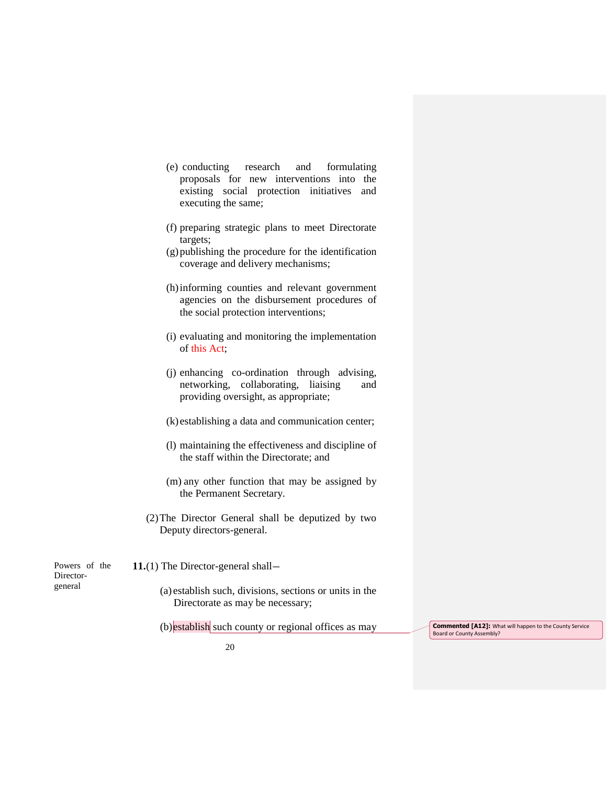- (e) conducting research and formulating proposals for new interventions into the existing social protection initiatives and executing the same;
- (f) preparing strategic plans to meet Directorate targets;
- (g)publishing the procedure for the identification coverage and delivery mechanisms;
- (h)informing counties and relevant government agencies on the disbursement procedures of the social protection interventions;
- (i) evaluating and monitoring the implementation of this Act;
- (j) enhancing co-ordination through advising, networking, collaborating, liaising and providing oversight, as appropriate;
- (k) establishing a data and communication center;
- (l) maintaining the effectiveness and discipline of the staff within the Directorate; and
- (m) any other function that may be assigned by the Permanent Secretary.
- (2)The Director General shall be deputized by two Deputy directors-general.

| Powers of the | 11.(1) The Director-general shall—                                                          |  |
|---------------|---------------------------------------------------------------------------------------------|--|
| Director-     |                                                                                             |  |
| general       | (a) establish such, divisions, sections or units in the<br>Directorate as may be necessary; |  |

(b)establish such county or regional offices as may **Commented [A12]:** What will happen to the County Service

Board or County Assembly?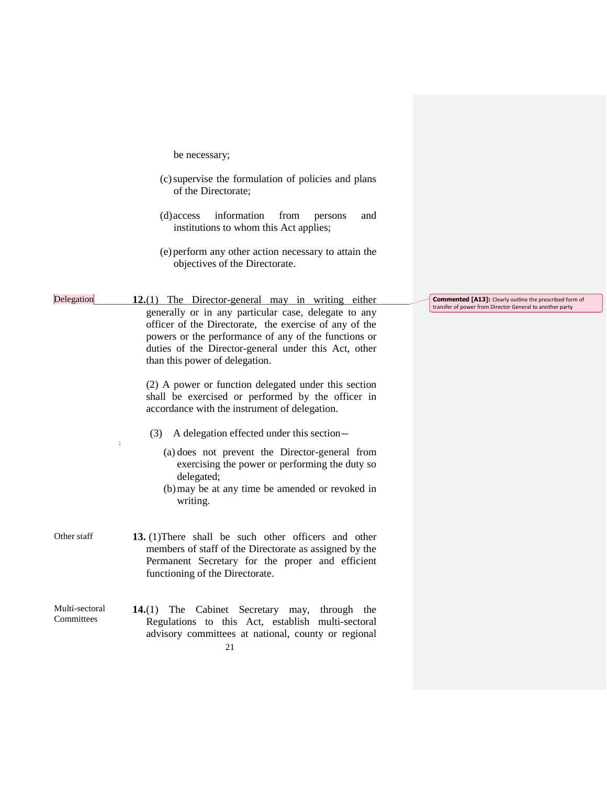be necessary;

- (c)supervise the formulation of policies and plans of the Directorate;
- (d)access information from persons and institutions to whom this Act applies;
- (e) perform any other action necessary to attain the objectives of the Directorate.

Delegation **12.**(1) The Director-general may in writing either generally or in any particular case, delegate to any officer of the Directorate, the exercise of any of the powers or the performance of any of the functions or duties of the Director-general under this Act, other than this power of delegation.

> (2) A power or function delegated under this section shall be exercised or performed by the officer in accordance with the instrument of delegation.

- (3) A delegation effected under this section—
	- (a) does not prevent the Director-general from exercising the power or performing the duty so delegated;
	- (b)may be at any time be amended or revoked in writing.
- Other staff **13.** (1)There shall be such other officers and other members of staff of the Directorate as assigned by the Permanent Secretary for the proper and efficient functioning of the Directorate.

;

21 Multi-sectoral **Committees 14.**(1) The Cabinet Secretary may, through the Regulations to this Act, establish multi-sectoral advisory committees at national, county or regional

**Commented [A13]:** Clearly outline the prescribed form of transfer of power from Director General to another party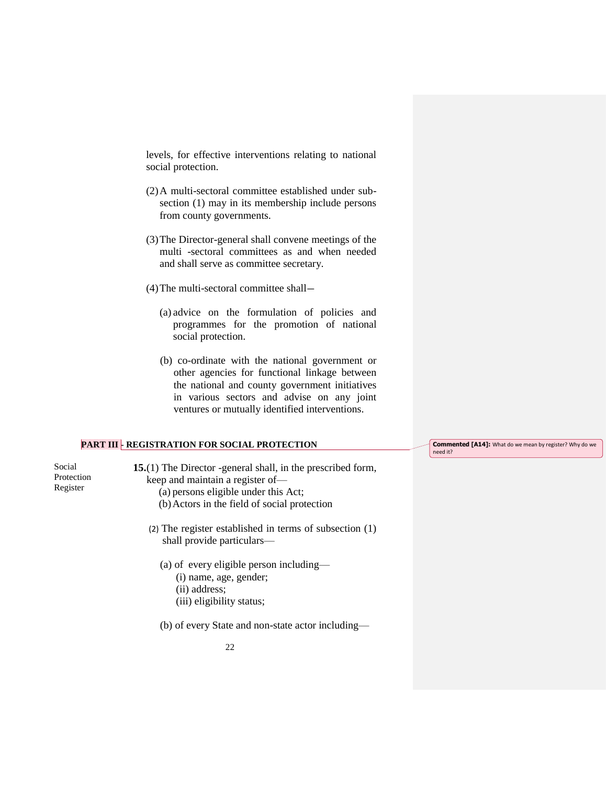levels, for effective interventions relating to national social protection.

- (2)A multi-sectoral committee established under subsection (1) may in its membership include persons from county governments.
- (3)The Director-general shall convene meetings of the multi -sectoral committees as and when needed and shall serve as committee secretary.
- (4)The multi-sectoral committee shall—
	- (a) advice on the formulation of policies and programmes for the promotion of national social protection.
	- (b) co-ordinate with the national government or other agencies for functional linkage between the national and county government initiatives in various sectors and advise on any joint ventures or mutually identified interventions.

## **PART III - REGISTRATION FOR SOCIAL PROTECTION**

| Social<br>Protection<br>Register | 15.(1) The Director -general shall, in the prescribed form,<br>keep and maintain a register of-<br>(a) persons eligible under this Act;<br>(b) Actors in the field of social protection |
|----------------------------------|-----------------------------------------------------------------------------------------------------------------------------------------------------------------------------------------|
|                                  | (2) The register established in terms of subsection $(1)$<br>shall provide particulars-                                                                                                 |
|                                  | (a) of every eligible person including—<br>(i) name, age, gender;<br>(ii) address:<br>(iii) eligibility status;                                                                         |

(b) of every State and non-state actor including—

**Commented [A14]:** What do we mean by register? Why do we need it?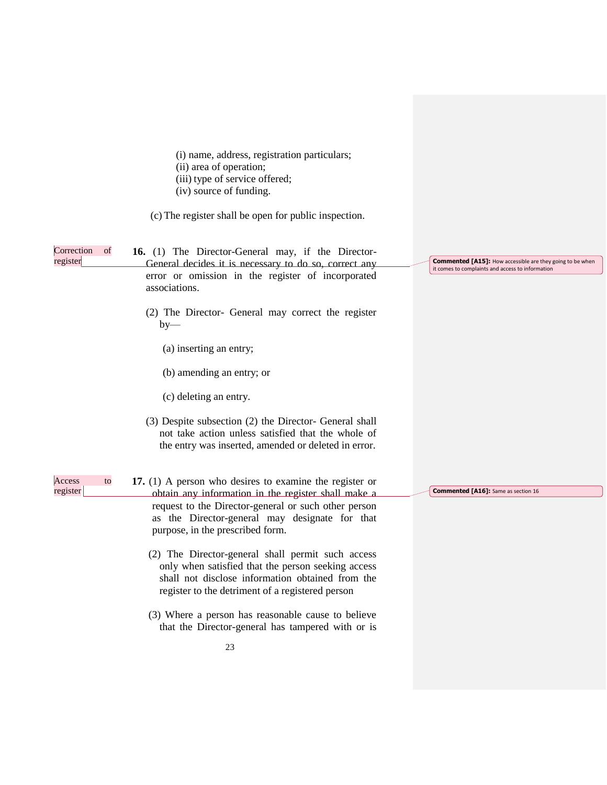|                              | (i) name, address, registration particulars;<br>(ii) area of operation;<br>(iii) type of service offered;<br>(iv) source of funding.                                                                            |                                                                                                                      |
|------------------------------|-----------------------------------------------------------------------------------------------------------------------------------------------------------------------------------------------------------------|----------------------------------------------------------------------------------------------------------------------|
|                              | (c) The register shall be open for public inspection.                                                                                                                                                           |                                                                                                                      |
| Correction<br>of<br>register | 16. (1) The Director-General may, if the Director-<br>General decides it is necessary to do so, correct any<br>error or omission in the register of incorporated<br>associations.                               | <b>Commented [A15]:</b> How accessible are they going to be when<br>it comes to complaints and access to information |
|                              | (2) The Director- General may correct the register<br>$by-$                                                                                                                                                     |                                                                                                                      |
|                              | (a) inserting an entry;                                                                                                                                                                                         |                                                                                                                      |
|                              | (b) amending an entry; or                                                                                                                                                                                       |                                                                                                                      |
|                              | (c) deleting an entry.                                                                                                                                                                                          |                                                                                                                      |
|                              | (3) Despite subsection (2) the Director- General shall<br>not take action unless satisfied that the whole of<br>the entry was inserted, amended or deleted in error.                                            |                                                                                                                      |
| Access<br>to                 | 17. $(1)$ A person who desires to examine the register or                                                                                                                                                       |                                                                                                                      |
| register                     | obtain any information in the register shall make a<br>request to the Director-general or such other person<br>as the Director-general may designate for that<br>purpose, in the prescribed form.               | <b>Commented [A16]:</b> Same as section 16                                                                           |
|                              | (2) The Director-general shall permit such access<br>only when satisfied that the person seeking access<br>shall not disclose information obtained from the<br>register to the detriment of a registered person |                                                                                                                      |
|                              | (3) Where a person has reasonable cause to believe<br>that the Director-general has tampered with or is                                                                                                         |                                                                                                                      |
|                              | 23                                                                                                                                                                                                              |                                                                                                                      |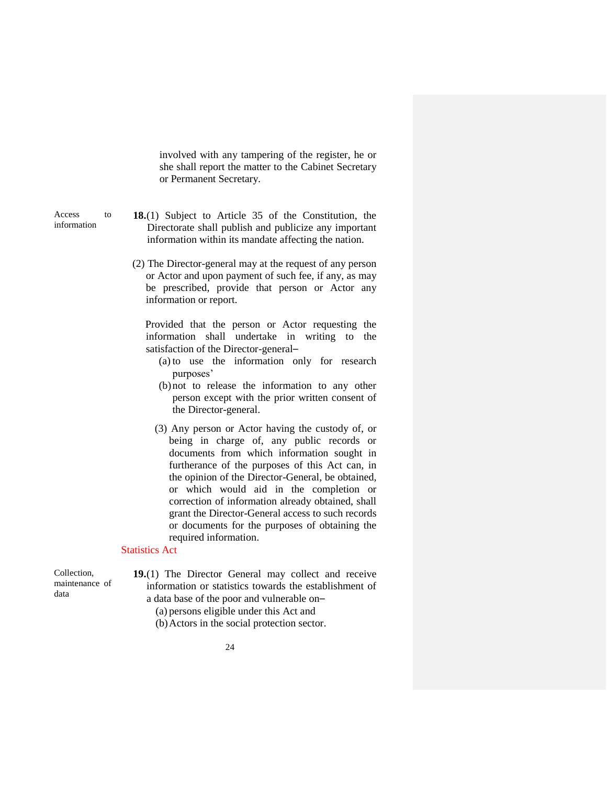involved with any tampering of the register, he or she shall report the matter to the Cabinet Secretary or Permanent Secretary.

Access to information

- **18.**(1) Subject to Article 35 of the Constitution, the Directorate shall publish and publicize any important information within its mandate affecting the nation.
- (2) The Director-general may at the request of any person or Actor and upon payment of such fee, if any, as may be prescribed, provide that person or Actor any information or report.

Provided that the person or Actor requesting the information shall undertake in writing to the satisfaction of the Director-general–

- (a) to use the information only for research purposes'
- (b)not to release the information to any other person except with the prior written consent of the Director-general.
- (3) Any person or Actor having the custody of, or being in charge of, any public records or documents from which information sought in furtherance of the purposes of this Act can, in the opinion of the Director-General, be obtained, or which would aid in the completion or correction of information already obtained, shall grant the Director-General access to such records or documents for the purposes of obtaining the required information.

### Statistics Act

Collection, maintenance of data

**19.**(1) The Director General may collect and receive information or statistics towards the establishment of a data base of the poor and vulnerable on–

(a) persons eligible under this Act and

(b)Actors in the social protection sector.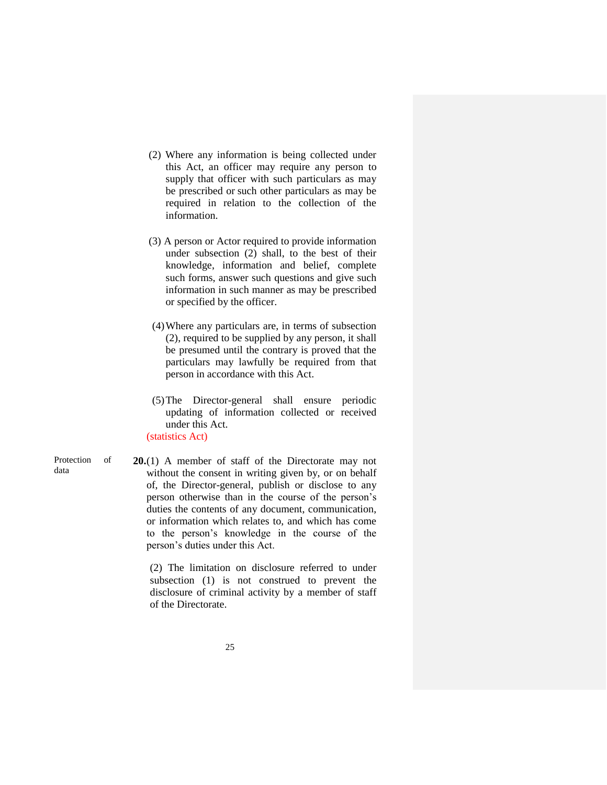- (2) Where any information is being collected under this Act, an officer may require any person to supply that officer with such particulars as may be prescribed or such other particulars as may be required in relation to the collection of the information.
- (3) A person or Actor required to provide information under subsection (2) shall, to the best of their knowledge, information and belief, complete such forms, answer such questions and give such information in such manner as may be prescribed or specified by the officer.
- (4)Where any particulars are, in terms of subsection (2), required to be supplied by any person, it shall be presumed until the contrary is proved that the particulars may lawfully be required from that person in accordance with this Act.
- (5)The Director-general shall ensure periodic updating of information collected or received under this Act.

(statistics Act)

Protection of data

**20.**(1) A member of staff of the Directorate may not without the consent in writing given by, or on behalf of, the Director-general, publish or disclose to any person otherwise than in the course of the person's duties the contents of any document, communication, or information which relates to, and which has come to the person's knowledge in the course of the person's duties under this Act.

(2) The limitation on disclosure referred to under subsection (1) is not construed to prevent the disclosure of criminal activity by a member of staff of the Directorate.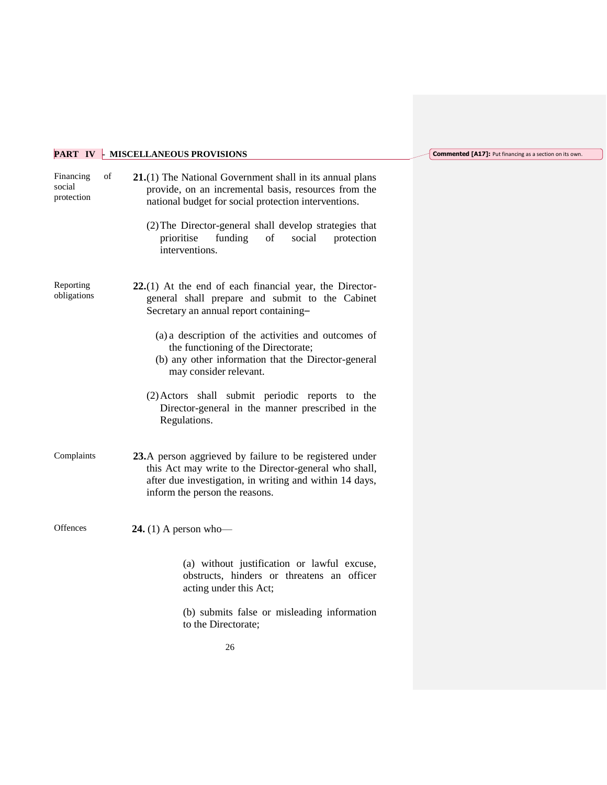# **PART IV - MISCELLANEOUS PROVISIONS**

| Financing<br>social<br>protection | of | $21(1)$ The National Government shall in its annual plans<br>provide, on an incremental basis, resources from the<br>national budget for social protection interventions.                                     |
|-----------------------------------|----|---------------------------------------------------------------------------------------------------------------------------------------------------------------------------------------------------------------|
|                                   |    | (2) The Director-general shall develop strategies that<br>funding<br>of<br>social<br>prioritise<br>protection<br>interventions.                                                                               |
| Reporting<br>obligations          |    | $22(1)$ At the end of each financial year, the Director-<br>general shall prepare and submit to the Cabinet<br>Secretary an annual report containing-                                                         |
|                                   |    | (a) a description of the activities and outcomes of<br>the functioning of the Directorate;<br>(b) any other information that the Director-general<br>may consider relevant.                                   |
|                                   |    | (2) Actors shall submit periodic reports to<br>the<br>Director-general in the manner prescribed in the<br>Regulations.                                                                                        |
| Complaints                        |    | 23.A person aggrieved by failure to be registered under<br>this Act may write to the Director-general who shall,<br>after due investigation, in writing and within 14 days,<br>inform the person the reasons. |
| Offences                          |    | 24. (1) A person who-                                                                                                                                                                                         |
|                                   |    | (a) without justification or lawful excuse,<br>obstructs, hinders or threatens an officer<br>acting under this Act;                                                                                           |
|                                   |    | (b) submits false or misleading information<br>to the Directorate;                                                                                                                                            |

## **Commented [A17]:** Put financing as a section on its own.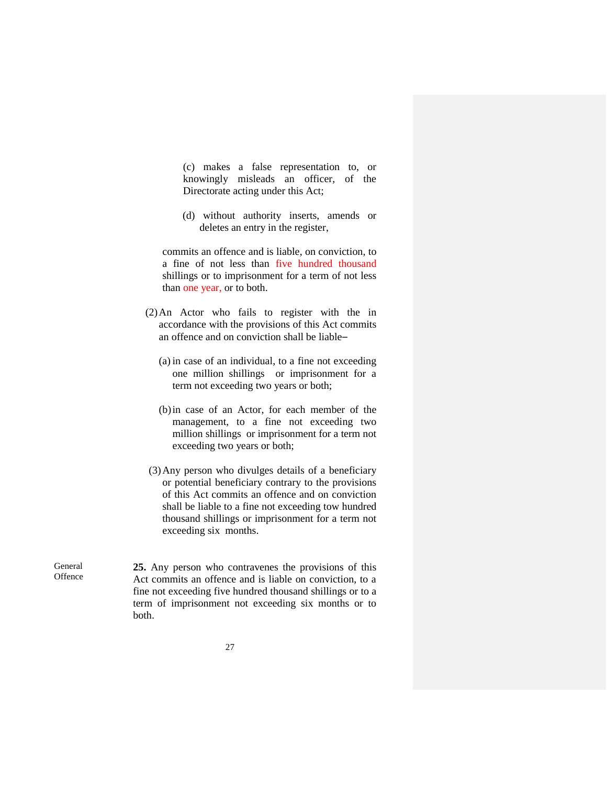(c) makes a false representation to, or knowingly misleads an officer, of the Directorate acting under this Act;

(d) without authority inserts, amends or deletes an entry in the register,

commits an offence and is liable, on conviction, to a fine of not less than five hundred thousand shillings or to imprisonment for a term of not less than one year, or to both.

- (2)An Actor who fails to register with the in accordance with the provisions of this Act commits an offence and on conviction shall be liable–
	- (a) in case of an individual, to a fine not exceeding one million shillings or imprisonment for a term not exceeding two years or both;
	- (b)in case of an Actor, for each member of the management, to a fine not exceeding two million shillings or imprisonment for a term not exceeding two years or both;
- (3)Any person who divulges details of a beneficiary or potential beneficiary contrary to the provisions of this Act commits an offence and on conviction shall be liable to a fine not exceeding tow hundred thousand shillings or imprisonment for a term not exceeding six months.

General **Offence**  **25.** Any person who contravenes the provisions of this Act commits an offence and is liable on conviction, to a fine not exceeding five hundred thousand shillings or to a term of imprisonment not exceeding six months or to both.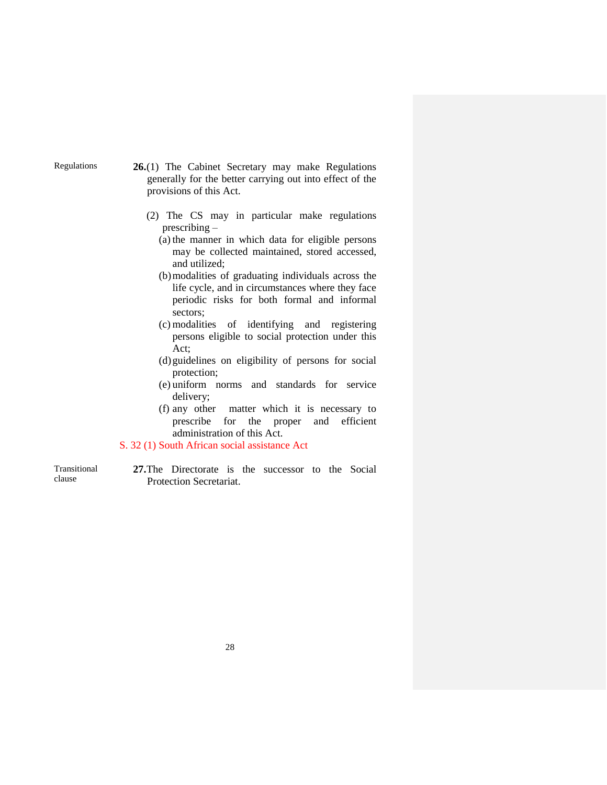Regulations **26.**(1) The Cabinet Secretary may make Regulations generally for the better carrying out into effect of the provisions of this Act.

- (2) The CS may in particular make regulations prescribing –
	- (a) the manner in which data for eligible persons may be collected maintained, stored accessed, and utilized;
	- (b)modalities of graduating individuals across the life cycle, and in circumstances where they face periodic risks for both formal and informal sectors;
	- (c) modalities of identifying and registering persons eligible to social protection under this Act;
	- (d)guidelines on eligibility of persons for social protection;
	- (e) uniform norms and standards for service delivery;
	- (f) any other matter which it is necessary to prescribe for the proper and efficient administration of this Act.

## S. 32 (1) South African social assistance Act

Transitional clause

**27.**The Directorate is the successor to the Social Protection Secretariat.